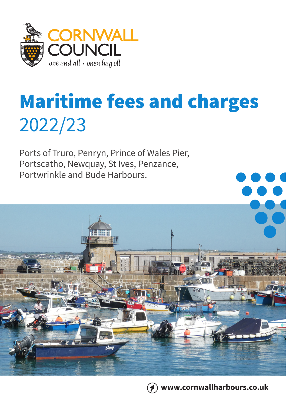

# Maritime fees and charges 2022/23

Ports of Truro, Penryn, Prince of Wales Pier, Portscatho, Newquay, St Ives, Penzance, Portwrinkle and Bude Harbours.



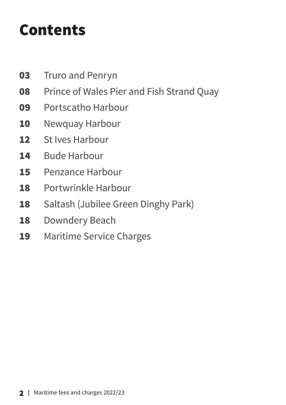# Contents

- [Truro and Penryn](#page-2-0)
- [Prince of Wales Pier and Fish Strand Quay](#page-7-0)
- [Portscatho Harbour](#page-8-0)
- [Newquay Harbour](#page-9-0)
- [St Ives Harbour](#page-11-0)
- [Bude Harbour](#page-13-0)
- [Penzance Harbour](#page-14-0)
- [Portwrinkle Harbour](#page-17-0)
- [Saltash \(Jubilee Green Dinghy Park\)](#page-17-0)
- [Downdery Beach](#page-17-0)
- [Maritime Service Charges](#page-18-0)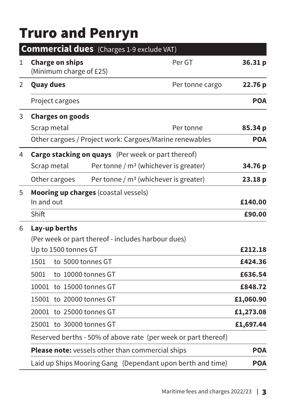### <span id="page-2-0"></span>Truro and Penryn

|   | Commercial dues (Charges 1-9 exclude VAT)                 |                                                                |            |  |
|---|-----------------------------------------------------------|----------------------------------------------------------------|------------|--|
| 1 | <b>Charge on ships</b><br>(Minimum charge of £25)         | Per GT                                                         | 36.31 p    |  |
| 2 | <b>Quay dues</b>                                          | Per tonne cargo                                                | 22.76 p    |  |
|   | Project cargoes                                           |                                                                | <b>POA</b> |  |
| 3 | <b>Charges on goods</b>                                   |                                                                |            |  |
|   | Scrap metal                                               | Per tonne                                                      | 85.34 p    |  |
|   |                                                           | Other cargoes / Project work: Cargoes/Marine renewables        | <b>POA</b> |  |
| 4 | <b>Cargo stacking on quays</b> (Per week or part thereof) |                                                                |            |  |
|   | Scrap metal                                               | Per tonne / $m3$ (whichever is greater)                        | 34.76 p    |  |
|   | Other cargoes                                             | Per tonne / $m3$ (whichever is greater)                        | 23.18 p    |  |
| 5 | Mooring up charges (coastal vessels)                      |                                                                |            |  |
|   | In and out                                                |                                                                | £140.00    |  |
|   | Shift                                                     |                                                                | £90.00     |  |
| 6 | Lay-up berths                                             |                                                                |            |  |
|   | (Per week or part thereof - includes harbour dues)        |                                                                |            |  |
|   | Up to 1500 tonnes GT                                      |                                                                | £212.18    |  |
|   | 1501<br>to 5000 tonnes GT                                 |                                                                | £424.36    |  |
|   | 5001<br>to 10000 tonnes GT                                |                                                                | £636.54    |  |
|   | 10001 to 15000 tonnes GT                                  |                                                                | £848.72    |  |
|   | 15001 to 20000 tonnes GT                                  |                                                                | £1,060.90  |  |
|   | 20001 to 25000 tonnes GT                                  |                                                                | £1,273.08  |  |
|   | 25001 to 30000 tonnes GT                                  |                                                                | £1,697.44  |  |
|   |                                                           | Reserved berths - 50% of above rate (per week or part thereof) |            |  |
|   | Please note: vessels other than commercial ships          |                                                                | <b>POA</b> |  |
|   |                                                           | Laid up Ships Mooring Gang (Dependant upon berth and time)     | <b>POA</b> |  |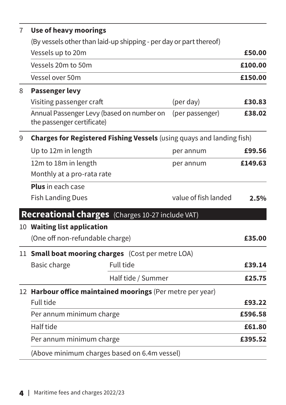| 7 | <b>Use of heavy moorings</b>                                            |                      |         |  |  |
|---|-------------------------------------------------------------------------|----------------------|---------|--|--|
|   | (By vessels other than laid-up shipping - per day or part thereof)      |                      |         |  |  |
|   | Vessels up to 20m                                                       |                      | £50.00  |  |  |
|   | Vessels 20m to 50m                                                      |                      | £100.00 |  |  |
|   | Vessel over 50m                                                         |                      | £150.00 |  |  |
| 8 | <b>Passenger levy</b>                                                   |                      |         |  |  |
|   | Visiting passenger craft                                                | (per day)            | £30.83  |  |  |
|   | Annual Passenger Levy (based on number on<br>the passenger certificate) | (per passenger)      | £38.02  |  |  |
| 9 | Charges for Registered Fishing Vessels (using quays and landing fish)   |                      |         |  |  |
|   | Up to 12m in length                                                     | per annum            | £99.56  |  |  |
|   | 12m to 18m in length                                                    | per annum            | £149.63 |  |  |
|   | Monthly at a pro-rata rate                                              |                      |         |  |  |
|   | Plus in each case                                                       |                      |         |  |  |
|   | <b>Fish Landing Dues</b>                                                | value of fish landed | 2.5%    |  |  |
|   | Recreational charges (Charges 10-27 include VAT)                        |                      |         |  |  |
|   | 10 Waiting list application                                             |                      |         |  |  |
|   | (One off non-refundable charge)                                         |                      | £35.00  |  |  |
|   | 11 Small boat mooring charges (Cost per metre LOA)                      |                      |         |  |  |
|   | Full tide<br>Basic charge                                               |                      | £39.14  |  |  |
|   | Half tide / Summer                                                      |                      | £25.75  |  |  |
|   | 12 Harbour office maintained moorings (Per metre per year)              |                      |         |  |  |
|   | <b>Full tide</b>                                                        |                      | £93.22  |  |  |
|   | Per annum minimum charge                                                |                      | £596.58 |  |  |
|   | Half tide                                                               |                      | £61.80  |  |  |
|   | Per annum minimum charge                                                |                      | £395.52 |  |  |
|   | (Above minimum charges based on 6.4m vessel)                            |                      |         |  |  |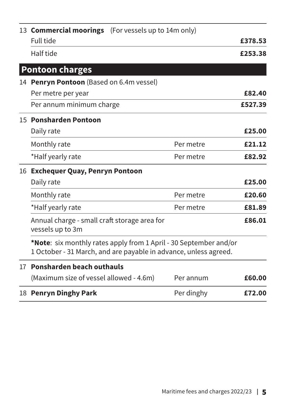|                  | 13 <b>Commercial moorings</b> (For vessels up to 14m only)                                                                            |  |            |         |
|------------------|---------------------------------------------------------------------------------------------------------------------------------------|--|------------|---------|
|                  | <b>Full tide</b>                                                                                                                      |  |            | £378.53 |
|                  | Half tide                                                                                                                             |  |            | £253.38 |
|                  | <b>Pontoon charges</b>                                                                                                                |  |            |         |
|                  | 14 Penryn Pontoon (Based on 6.4m vessel)                                                                                              |  |            |         |
|                  | Per metre per year                                                                                                                    |  |            | £82.40  |
|                  | Per annum minimum charge                                                                                                              |  |            | £527.39 |
|                  | 15 Ponsharden Pontoon                                                                                                                 |  |            |         |
|                  | Daily rate                                                                                                                            |  |            | £25.00  |
|                  | Monthly rate                                                                                                                          |  | Per metre  | £21.12  |
|                  | *Half yearly rate                                                                                                                     |  | Per metre  | £82.92  |
|                  | 16 Exchequer Quay, Penryn Pontoon                                                                                                     |  |            |         |
|                  | Daily rate                                                                                                                            |  |            | £25.00  |
|                  | Monthly rate                                                                                                                          |  | Per metre  | £20.60  |
|                  | *Half yearly rate                                                                                                                     |  | Per metre  | £81.89  |
|                  | Annual charge - small craft storage area for<br>vessels up to 3m                                                                      |  |            | £86.01  |
|                  | *Note: six monthly rates apply from 1 April - 30 September and/or<br>1 October - 31 March, and are payable in advance, unless agreed. |  |            |         |
| 17 <sup>17</sup> | Ponsharden beach outhauls                                                                                                             |  |            |         |
|                  | (Maximum size of vessel allowed - 4.6m)                                                                                               |  | Per annum  | £60.00  |
|                  | 18 Penryn Dinghy Park                                                                                                                 |  | Per dinghy | £72.00  |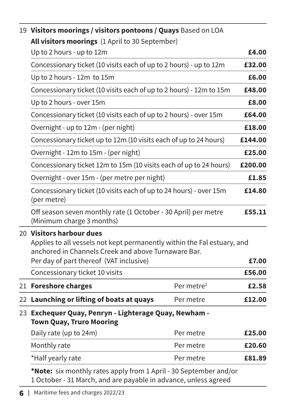|  | 19 Visitors moorings / visitors pontoons / Quays Based on LOA<br>All visitors moorings (1 April to 30 September)                                                                                      |                        |         |  |
|--|-------------------------------------------------------------------------------------------------------------------------------------------------------------------------------------------------------|------------------------|---------|--|
|  |                                                                                                                                                                                                       |                        |         |  |
|  | Up to 2 hours - up to 12m                                                                                                                                                                             |                        | £4.00   |  |
|  | Concessionary ticket (10 visits each of up to 2 hours) - up to 12m                                                                                                                                    |                        | £32.00  |  |
|  | Up to 2 hours - 12m to 15m                                                                                                                                                                            |                        | £6.00   |  |
|  | Concessionary ticket (10 visits each of up to 2 hours) - 12m to 15m                                                                                                                                   |                        | £48.00  |  |
|  | Up to 2 hours - over 15m                                                                                                                                                                              |                        | £8.00   |  |
|  | Concessionary ticket (10 visits each of up to 2 hours) - over 15m                                                                                                                                     |                        | £64.00  |  |
|  | Overnight - up to 12m - (per night)                                                                                                                                                                   |                        | £18.00  |  |
|  | Concessionary ticket up to 12m (10 visits each of up to 24 hours)                                                                                                                                     |                        | £144.00 |  |
|  | Overnight - 12m to 15m - (per night)                                                                                                                                                                  |                        | £25.00  |  |
|  | Concessionary ticket 12m to 15m (10 visits each of up to 24 hours)                                                                                                                                    |                        | £200.00 |  |
|  | Overnight - over 15m - (per metre per night)                                                                                                                                                          |                        | £1.85   |  |
|  | Concessionary ticket (10 visits each of up to 24 hours) - over 15m<br>(per metre)                                                                                                                     |                        |         |  |
|  | Off season seven monthly rate (1 October - 30 April) per metre<br>(Minimum charge 3 months)                                                                                                           |                        |         |  |
|  | 20 Visitors harbour dues<br>Applies to all vessels not kept permanently within the Fal estuary, and<br>anchored in Channels Creek and above Turnaware Bar.<br>Per day of part thereof (VAT inclusive) |                        | £7.00   |  |
|  | Concessionary ticket 10 visits                                                                                                                                                                        |                        | £56.00  |  |
|  | 21 Foreshore charges                                                                                                                                                                                  | Per metre <sup>2</sup> | £2.58   |  |
|  | 22 Launching or lifting of boats at quays                                                                                                                                                             | Per metre              | £12.00  |  |
|  | 23 Exchequer Quay, Penryn - Lighterage Quay, Newham -<br><b>Town Quay, Truro Mooring</b>                                                                                                              |                        |         |  |
|  | Daily rate (up to 24m)                                                                                                                                                                                | Per metre              | £25.00  |  |
|  | Monthly rate                                                                                                                                                                                          | Per metre              | £20.60  |  |
|  | *Half yearly rate                                                                                                                                                                                     | Per metre              | £81.89  |  |
|  | *Note: six monthly rates apply from 1 April - 30 September and/or                                                                                                                                     |                        |         |  |

1 October - 31 March, and are payable in advance, unless agreed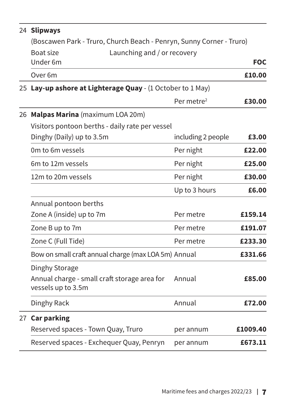| 24 Slipways                                                          |                        |            |  |
|----------------------------------------------------------------------|------------------------|------------|--|
| (Boscawen Park - Truro, Church Beach - Penryn, Sunny Corner - Truro) |                        |            |  |
| Boat size<br>Launching and / or recovery<br>Under <sub>6m</sub>      |                        | <b>FOC</b> |  |
|                                                                      |                        |            |  |
| Over <sub>6m</sub>                                                   |                        | £10.00     |  |
| 25 Lay-up ashore at Lighterage Quay - (1 October to 1 May)           |                        |            |  |
|                                                                      | Per metre <sup>2</sup> | £30.00     |  |
| 26 Malpas Marina (maximum LOA 20m)                                   |                        |            |  |
| Visitors pontoon berths - daily rate per vessel                      |                        |            |  |
| Dinghy (Daily) up to 3.5m                                            | including 2 people     | £3.00      |  |
| Om to 6m vessels                                                     | Per night              | £22.00     |  |
| 6m to 12m vessels                                                    | Per night              | £25.00     |  |
| 12m to 20m vessels                                                   | Per night              | £30.00     |  |
|                                                                      | Up to 3 hours          | £6.00      |  |
| Annual pontoon berths                                                |                        |            |  |
| Zone A (inside) up to 7m                                             | Per metre              | £159.14    |  |
| Zone B up to 7m                                                      | Per metre              | £191.07    |  |
| Zone C (Full Tide)                                                   | Per metre              | £233.30    |  |
| Bow on small craft annual charge (max LOA 5m) Annual                 |                        | £331.66    |  |
| Dinghy Storage                                                       |                        |            |  |
| Annual charge - small craft storage area for<br>vessels up to 3.5m   | Annual                 | £85.00     |  |
| Dinghy Rack                                                          | Annual                 | £72.00     |  |
| 27 Car parking                                                       |                        |            |  |
| Reserved spaces - Town Quay, Truro                                   | per annum              | £1009.40   |  |
| Reserved spaces - Exchequer Quay, Penryn                             | per annum              | £673.11    |  |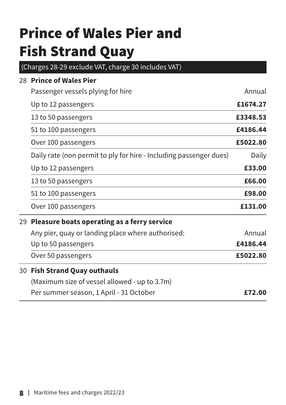# <span id="page-7-0"></span>Prince of Wales Pier and Fish Strand Quay

(Charges 28-29 exclude VAT, charge 30 includes VAT)

| 28 Prince of Wales Pier                                            |          |  |
|--------------------------------------------------------------------|----------|--|
| Passenger vessels plying for hire                                  | Annual   |  |
| Up to 12 passengers                                                | £1674.27 |  |
| 13 to 50 passengers                                                | £3348.53 |  |
| 51 to 100 passengers                                               | £4186.44 |  |
| Over 100 passengers                                                | £5022.80 |  |
| Daily rate (non permit to ply for hire - Including passenger dues) | Daily    |  |
| Up to 12 passengers                                                | £33.00   |  |
| 13 to 50 passengers                                                | £66.00   |  |
| 51 to 100 passengers                                               | £98.00   |  |
| Over 100 passengers                                                | £131.00  |  |
| 29 Pleasure boats operating as a ferry service                     |          |  |
| Any pier, quay or landing place where authorised:                  | Annual   |  |
| Up to 50 passengers                                                | £4186.44 |  |
| Over 50 passengers                                                 |          |  |
| 30 Fish Strand Quay outhauls                                       |          |  |
| (Maximum size of vessel allowed - up to 3.7m)                      |          |  |
| Per summer season, 1 April - 31 October                            | £72.00   |  |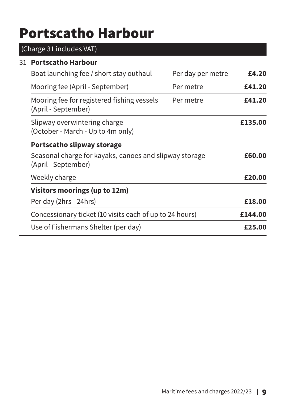### <span id="page-8-0"></span>Portscatho Harbour

### (Charge 31 includes VAT) 31 **Portscatho Harbour**  Boat launching fee / short stay outhaul Per day per metre **£4.20** Mooring fee (April - September) Per metre **£41.20** Mooring fee for registered fishing vessels (April - September) Per metre **£41.20** Slipway overwintering charge (October - March - Up to 4m only) **£135.00 Portscatho slipway storage** Seasonal charge for kayaks, canoes and slipway storage (April - September) **£60.00** Weekly charge **E20.00 Visitors moorings (up to 12m)** Per day (2hrs - 24hrs) **£18.00** Concessionary ticket (10 visits each of up to 24 hours) **£144.00** Use of Fishermans Shelter (per day) **£25.00**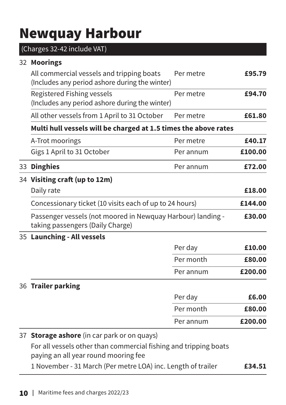### <span id="page-9-0"></span>Newquay Harbour

|  | (Charges 32-42 include VAT)                                                                              |           |         |
|--|----------------------------------------------------------------------------------------------------------|-----------|---------|
|  | 32 Moorings                                                                                              |           |         |
|  | All commercial vessels and tripping boats<br>(Includes any period ashore during the winter)              | Per metre | £95.79  |
|  | Registered Fishing vessels<br>(Includes any period ashore during the winter)                             | Per metre | £94.70  |
|  | All other vessels from 1 April to 31 October                                                             | Per metre | £61.80  |
|  | Multi hull vessels will be charged at 1.5 times the above rates                                          |           |         |
|  | A-Trot moorings                                                                                          | Per metre | £40.17  |
|  | Gigs 1 April to 31 October                                                                               | Per annum | £100.00 |
|  | 33 Dinghies                                                                                              | Per annum | £72.00  |
|  | 34 Visiting craft (up to 12m)                                                                            |           |         |
|  | Daily rate                                                                                               |           | £18.00  |
|  | Concessionary ticket (10 visits each of up to 24 hours)                                                  |           | £144.00 |
|  | Passenger vessels (not moored in Newquay Harbour) landing -<br>taking passengers (Daily Charge)          |           | £30.00  |
|  | 35 Launching - All vessels                                                                               |           |         |
|  |                                                                                                          | Per day   | £10.00  |
|  |                                                                                                          | Per month | £80.00  |
|  |                                                                                                          | Per annum | £200.00 |
|  | 36 Trailer parking                                                                                       |           |         |
|  |                                                                                                          | Per day   | £6.00   |
|  |                                                                                                          | Per month | £80.00  |
|  |                                                                                                          | Per annum | £200.00 |
|  | 37 Storage ashore (in car park or on quays)                                                              |           |         |
|  | For all vessels other than commercial fishing and tripping boats<br>paying an all year round mooring fee |           |         |
|  | 1 November - 31 March (Per metre LOA) inc. Length of trailer                                             |           | £34.51  |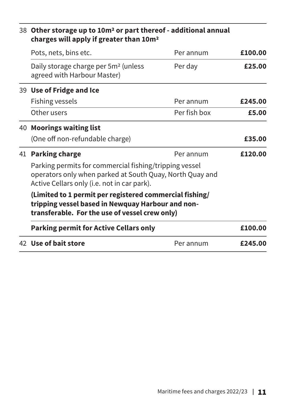|  | 38 Other storage up to 10m <sup>2</sup> or part thereof - additional annual<br>charges will apply if greater than 10m <sup>2</sup>                                |              |         |
|--|-------------------------------------------------------------------------------------------------------------------------------------------------------------------|--------------|---------|
|  | Pots, nets, bins etc.                                                                                                                                             | Per annum    | £100.00 |
|  | Daily storage charge per 5m <sup>2</sup> (unless<br>agreed with Harbour Master)                                                                                   | Per day      | £25.00  |
|  | 39 Use of Fridge and Ice                                                                                                                                          |              |         |
|  | Fishing vessels                                                                                                                                                   | Per annum    | £245.00 |
|  | Other users                                                                                                                                                       | Per fish box | £5.00   |
|  | 40 Moorings waiting list                                                                                                                                          |              |         |
|  | (One off non-refundable charge)                                                                                                                                   |              | £35.00  |
|  | 41 Parking charge                                                                                                                                                 | Per annum    | £120.00 |
|  | Parking permits for commercial fishing/tripping vessel<br>operators only when parked at South Quay, North Quay and<br>Active Cellars only (i.e. not in car park). |              |         |
|  | (Limited to 1 permit per registered commercial fishing/<br>tripping vessel based in Newquay Harbour and non-<br>transferable. For the use of vessel crew only)    |              |         |
|  | <b>Parking permit for Active Cellars only</b>                                                                                                                     |              | £100.00 |
|  | 42 Use of bait store                                                                                                                                              | Per annum    | £245.00 |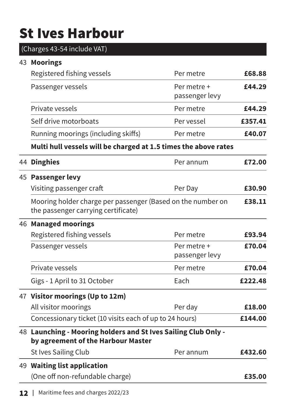# <span id="page-11-0"></span>St Ives Harbour

| (Charges 43-54 include VAT)                                                                          |                               |         |
|------------------------------------------------------------------------------------------------------|-------------------------------|---------|
| 43 Moorings                                                                                          |                               |         |
| Registered fishing vessels                                                                           | Per metre                     | £68.88  |
| Passenger vessels                                                                                    | Per metre +<br>passenger levy | £44.29  |
| Private vessels                                                                                      | Per metre                     | £44.29  |
| Self drive motorboats                                                                                | Per vessel                    | £357.41 |
| Running moorings (including skiffs)                                                                  | Per metre                     | £40.07  |
| Multi hull vessels will be charged at 1.5 times the above rates                                      |                               |         |
| 44 Dinghies                                                                                          | Per annum                     | £72.00  |
| 45 Passenger levy                                                                                    |                               |         |
| Visiting passenger craft                                                                             | Per Day                       | £30.90  |
| Mooring holder charge per passenger (Based on the number on<br>the passenger carrying certificate)   |                               | £38.11  |
| 46 Managed moorings                                                                                  |                               |         |
| Registered fishing vessels                                                                           | Per metre                     | £93.94  |
| Passenger vessels                                                                                    | Per metre +<br>passenger levy | £70.04  |
| Private vessels                                                                                      | Per metre                     | £70.04  |
| Gigs - 1 April to 31 October                                                                         | Each                          | £222.48 |
| 47 Visitor moorings (Up to 12m)                                                                      |                               |         |
| All visitor moorings                                                                                 | Per day                       | £18.00  |
| Concessionary ticket (10 visits each of up to 24 hours)                                              |                               | £144.00 |
| 48 Launching - Mooring holders and St Ives Sailing Club Only -<br>by agreement of the Harbour Master |                               |         |
| St Ives Sailing Club                                                                                 | Per annum                     | £432.60 |
| 49 Waiting list application                                                                          |                               |         |
| (One off non-refundable charge)                                                                      |                               | £35.00  |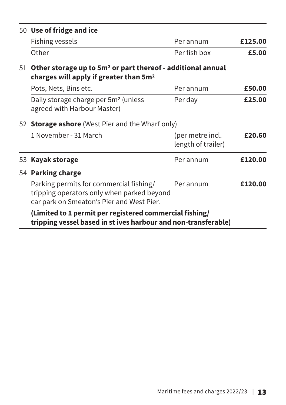|    | 50 Use of fridge and ice                                                                                                           |                                        |         |  |
|----|------------------------------------------------------------------------------------------------------------------------------------|----------------------------------------|---------|--|
|    | Fishing vessels                                                                                                                    | Per annum                              | £125.00 |  |
|    | Other                                                                                                                              | Per fish box                           | £5.00   |  |
| 51 | Other storage up to 5m <sup>2</sup> or part thereof - additional annual<br>charges will apply if greater than 5m <sup>2</sup>      |                                        |         |  |
|    | Pots, Nets, Bins etc.                                                                                                              | Per annum                              | £50.00  |  |
|    | Daily storage charge per 5m <sup>2</sup> (unless<br>agreed with Harbour Master)                                                    | Per day                                | £25.00  |  |
|    | 52 Storage ashore (West Pier and the Wharf only)                                                                                   |                                        |         |  |
|    | 1 November - 31 March                                                                                                              | (per metre incl.<br>length of trailer) | £20.60  |  |
| 53 | <b>Kayak storage</b>                                                                                                               | Per annum                              | £120.00 |  |
|    | 54 Parking charge                                                                                                                  |                                        |         |  |
|    | Parking permits for commercial fishing/<br>tripping operators only when parked beyond<br>car park on Smeaton's Pier and West Pier. | Per annum                              | £120.00 |  |
|    | (Limited to 1 permit per registered commercial fishing/                                                                            |                                        |         |  |

**tripping vessel based in st ives harbour and non-transferable)**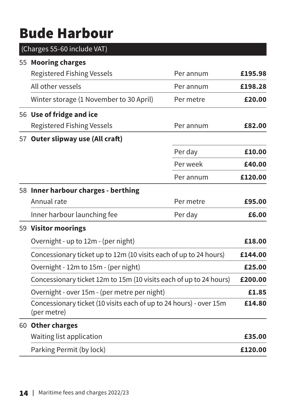### <span id="page-13-0"></span>Bude Harbour

| (Charges 55-60 include VAT)                                                       |           |         |  |
|-----------------------------------------------------------------------------------|-----------|---------|--|
| 55 Mooring charges                                                                |           |         |  |
| <b>Registered Fishing Vessels</b>                                                 | Per annum | £195.98 |  |
| All other vessels                                                                 | Per annum | £198.28 |  |
| Winter storage (1 November to 30 April)                                           | Per metre | £20.00  |  |
| 56 Use of fridge and ice                                                          |           |         |  |
| <b>Registered Fishing Vessels</b>                                                 | Per annum | £82.00  |  |
| 57 Outer slipway use (All craft)                                                  |           |         |  |
|                                                                                   | Per day   | £10.00  |  |
|                                                                                   | Per week  | £40.00  |  |
|                                                                                   | Per annum | £120.00 |  |
| 58 Inner harbour charges - berthing                                               |           |         |  |
| Annual rate                                                                       | Per metre | £95.00  |  |
| Inner harbour launching fee                                                       | Per day   | £6.00   |  |
| 59 Visitor moorings                                                               |           |         |  |
| Overnight - up to 12m - (per night)                                               |           | £18.00  |  |
| Concessionary ticket up to 12m (10 visits each of up to 24 hours)                 |           | £144.00 |  |
| Overnight - 12m to 15m - (per night)                                              |           | £25.00  |  |
| Concessionary ticket 12m to 15m (10 visits each of up to 24 hours)                |           | £200.00 |  |
| Overnight - over 15m - (per metre per night)                                      |           | £1.85   |  |
| Concessionary ticket (10 visits each of up to 24 hours) - over 15m<br>(per metre) |           | £14.80  |  |
| 60 Other charges                                                                  |           |         |  |
| Waiting list application                                                          |           | £35.00  |  |
| Parking Permit (by lock)                                                          |           | £120.00 |  |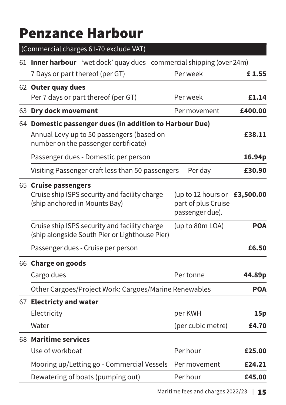### <span id="page-14-0"></span>Penzance Harbour

(Commercial charges 61-70 exclude VAT) 61 **Inner harbour** - 'wet dock' quay dues - commercial shipping (over 24m) 7 Days or part thereof (per GT) Per week **£ 1.55** 62 **Outer quay dues** Per 7 days or part thereof (per GT) Per week **£1.14** 63 **Dry dock movement** Per movement **£400.00** 64 **Domestic passenger dues (in addition to Harbour Due)** Annual Levy up to 50 passengers (based on number on the passenger certificate) **£38.11** Passenger dues - Domestic per person **16.94p** Visiting Passenger craft less than 50 passengers Per day **£30.90** 65 **Cruise passengers** Cruise ship ISPS security and facility charge (ship anchored in Mounts Bay) (up to 12 hours or  **£3,500.00**  part of plus Cruise passenger due). Cruise ship ISPS security and facility charge (ship alongside South Pier or Lighthouse Pier) (up to 80m LOA) **POA** Passenger dues - Cruise per person **£6.50** 66 **Charge on goods** Cargo dues **44.89p** Other Cargoes/Project Work: Cargoes/Marine Renewables **POA** 67 **Electricty and water** Electricity per KWH **15p** Water (per cubic metre) **£4.70** 68 **Maritime services** Use of workboat **Per hour £25.00** Mooring up/Letting go - Commercial Vessels Per movement **£24.21** Dewatering of boats (pumping out) Per hour **£45.00** 

Maritime fees and charges 2022/23 | 15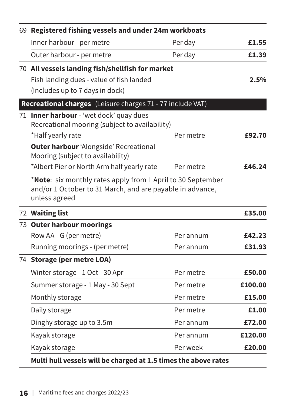|  | 69 Registered fishing vessels and under 24m workboats                                                                                     |           |         |
|--|-------------------------------------------------------------------------------------------------------------------------------------------|-----------|---------|
|  | Inner harbour - per metre                                                                                                                 | Per day   | £1.55   |
|  | Outer harbour - per metre                                                                                                                 | Per day   | £1.39   |
|  | 70 All vessels landing fish/shellfish for market                                                                                          |           |         |
|  | Fish landing dues - value of fish landed                                                                                                  |           | 2.5%    |
|  | (Includes up to 7 days in dock)                                                                                                           |           |         |
|  | Recreational charges (Leisure charges 71 - 77 include VAT)                                                                                |           |         |
|  | 71 Inner harbour - 'wet dock' quay dues<br>Recreational mooring (subject to availability)                                                 |           |         |
|  | *Half yearly rate                                                                                                                         | Per metre | £92.70  |
|  | Outer harbour 'Alongside' Recreational<br>Mooring (subject to availability)                                                               |           |         |
|  | *Albert Pier or North Arm half yearly rate                                                                                                | Per metre | £46.24  |
|  | *Note: six monthly rates apply from 1 April to 30 September<br>and/or 1 October to 31 March, and are payable in advance,<br>unless agreed |           |         |
|  | 72 Waiting list                                                                                                                           |           | £35.00  |
|  | 73 Outer harbour moorings                                                                                                                 |           |         |
|  | Row AA - G (per metre)                                                                                                                    | Per annum | £42.23  |
|  | Running moorings - (per metre)                                                                                                            | Per annum | £31.93  |
|  | 74 Storage (per metre LOA)                                                                                                                |           |         |
|  | Winter storage - 1 Oct - 30 Apr                                                                                                           | Per metre | £50.00  |
|  | Summer storage - 1 May - 30 Sept                                                                                                          | Per metre | £100.00 |
|  | Monthly storage                                                                                                                           | Per metre | £15.00  |
|  | Daily storage                                                                                                                             | Per metre | £1.00   |
|  | Dinghy storage up to 3.5m                                                                                                                 | Per annum | £72.00  |
|  | Kayak storage                                                                                                                             | Per annum | £120.00 |
|  | Kayak storage                                                                                                                             | Per week  | £20.00  |
|  | Multi hull vessels will be charged at 1.5 times the above rates                                                                           |           |         |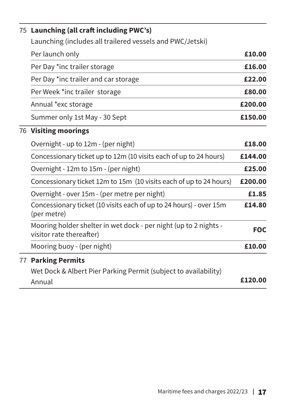|  | 75 Launching (all craft including PWC's)                                                     |            |
|--|----------------------------------------------------------------------------------------------|------------|
|  | Launching (includes all trailered vessels and PWC/Jetski)                                    |            |
|  | Per launch only                                                                              | £10.00     |
|  | Per Day *inc trailer storage                                                                 | £16.00     |
|  | Per Day *inc trailer and car storage                                                         | £22.00     |
|  | Per Week *inc trailer storage                                                                | £80.00     |
|  | Annual *exc storage                                                                          | £200.00    |
|  | Summer only 1st May - 30 Sept                                                                | £150.00    |
|  | 76 Visiting moorings                                                                         |            |
|  | Overnight - up to 12m - (per night)                                                          | £18.00     |
|  | Concessionary ticket up to 12m (10 visits each of up to 24 hours)                            | £144.00    |
|  | Overnight - 12m to 15m - (per night)                                                         | £25.00     |
|  | Concessionary ticket 12m to 15m (10 visits each of up to 24 hours)                           | £200.00    |
|  | Overnight - over 15m - (per metre per night)                                                 | £1.85      |
|  | Concessionary ticket (10 visits each of up to 24 hours) - over 15m<br>(per metre)            | £14.80     |
|  | Mooring holder shelter in wet dock - per night (up to 2 nights -<br>visitor rate thereafter) | <b>FOC</b> |
|  | Mooring buoy - (per night)                                                                   | £10.00     |
|  | <b>77 Parking Permits</b>                                                                    |            |
|  | Wet Dock & Albert Pier Parking Permit (subject to availability)                              |            |
|  | Annual                                                                                       | £120.00    |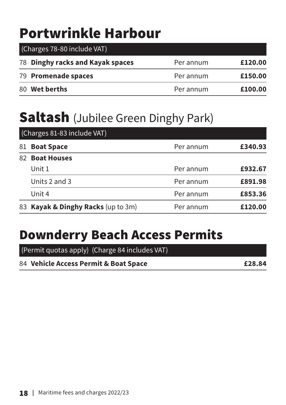### <span id="page-17-0"></span>Portwrinkle Harbour

| (Charges 78-80 include VAT)      |           |         |  |  |
|----------------------------------|-----------|---------|--|--|
| 78 Dinghy racks and Kayak spaces | Per annum | £120.00 |  |  |
| 79 Promenade spaces              | Per annum | £150.00 |  |  |
| 80 Wet berths                    | Per annum | £100.00 |  |  |

### **Saltash** (Jubilee Green Dinghy Park)

|    | (Charges 81-83 include VAT)        |           |         |  |
|----|------------------------------------|-----------|---------|--|
| 81 | <b>Boat Space</b>                  | Per annum | £340.93 |  |
|    | 82 Boat Houses                     |           |         |  |
|    | Unit 1                             | Per annum | £932.67 |  |
|    | Units 2 and 3                      | Per annum | £891.98 |  |
|    | Unit 4                             | Per annum | £853.36 |  |
|    | 83 Kayak & Dinghy Racks (up to 3m) | Per annum | £120.00 |  |

### Downderry Beach Access Permits

(Permit quotas apply) (Charge 84 includes VAT)

84 **Vehicle Access Permit & Boat Space £28.84**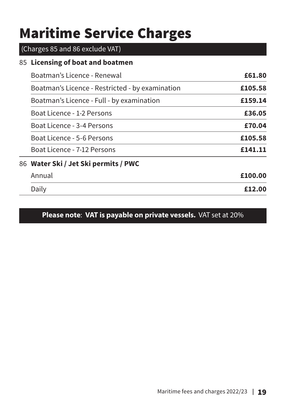# <span id="page-18-0"></span>Maritime Service Charges

#### (Charges 85 and 86 exclude VAT)

#### 85 **Licensing of boat and boatmen**

| Boatman's Licence - Renewal                     | £61.80  |
|-------------------------------------------------|---------|
| Boatman's Licence - Restricted - by examination | £105.58 |
| Boatman's Licence - Full - by examination       | £159.14 |
| Boat Licence - 1-2 Persons                      | £36.05  |
| Boat Licence - 3-4 Persons                      | £70.04  |
| Boat Licence - 5-6 Persons                      | £105.58 |
| Boat Licence - 7-12 Persons                     | £141.11 |
| 86   Water Ski / Jet Ski permits / PWC          |         |
| Annual                                          | £100.00 |
| Daily                                           | £12.00  |
|                                                 |         |

#### **Please note**: **VAT is payable on private vessels.** VAT set at 20%